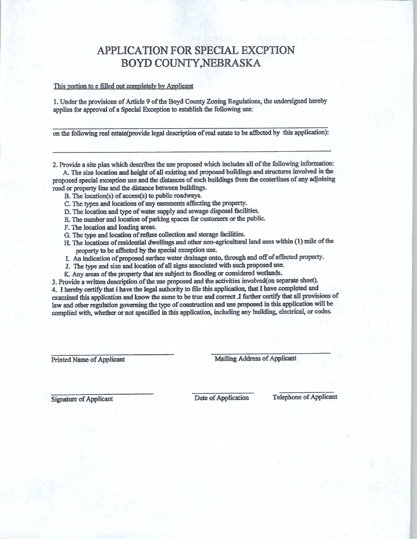## APPLICATION FOR SPECIAL EXCPTION BOYD COUNTY, NEBRASKA

## This portion to e filled out completely by Applicant

I. Under the provisions of Article 9 of the Boyd County Zoning Regulations, the undersigned hereby applies for approval of a Special Exception to establish the following use:

on the following real estate(provide legal description of real estate to be affected by this application):

2. Provide a site plan which descnbes the use proposed which includes all of the following information:

A. The size location and height of all existing and proposed buildings and structures involved in the proposed special exception use and the distances of such buildings from the centerlines of any adjoining road or property line and the distance between buildings.

- B. The location(s) of access(s) to public roadways.
- C. The types and locations of any easements affecting the property.
- D. The location and type of water supply and sewage disposal facilities.
- E. The number and location of parking spaces for customers or the public.
- F. The location and loading areas.
- G. The type and location of refuse collection and storage facilities.
- H. The locations of residential dwellings and other non-agricultural land uses within (1) mile of the property to be affected by the special exception use.
- I. An indication of proposed surface water drainage onto, through and off of affected property.
- J. The type and size and location of all signs associated with such proposed use.
- K. Any areas of the property that are subject to flooding or considered wetlands.

3. Provide a written description of the use proposed and the activities involved(on separate sheet). 4. I hereby certify that i have the legal authority to file this application, that I have completed and examined this application and know the same to be true and correct J further certify that all provisions of law and other regulation governing the type of construction and use proposed in this application will be complied with, whether or not specified in this application, including any building, electrical, or codes.

Printed Name of Applicant Mailing Address of Applicant

Signature of Applicant Date of Application Telephone of Applicant